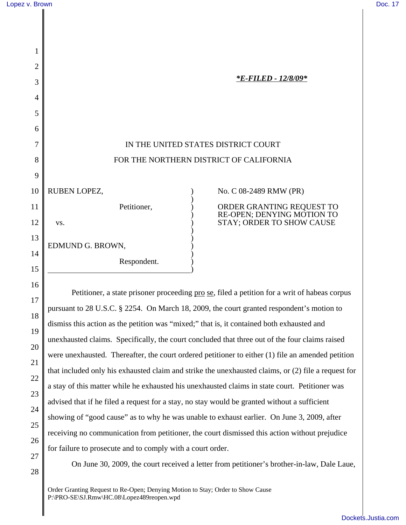16

17

18

19

20

21

22

23

24

25

26

27

28

| 1  |                                         |                                                                                      |
|----|-----------------------------------------|--------------------------------------------------------------------------------------|
| 2  |                                         |                                                                                      |
| 3  |                                         | <i><b>*E-FILED - 12/8/09*</b></i>                                                    |
| 4  |                                         |                                                                                      |
| 5  |                                         |                                                                                      |
| 6  |                                         |                                                                                      |
| 7  | IN THE UNITED STATES DISTRICT COURT     |                                                                                      |
| 8  | FOR THE NORTHERN DISTRICT OF CALIFORNIA |                                                                                      |
| 9  |                                         |                                                                                      |
| 10 | RUBEN LOPEZ,                            | No. C 08-2489 RMW (PR)                                                               |
| 11 | Petitioner,                             |                                                                                      |
| 12 | VS.                                     | ORDER GRANTING REQUEST TO<br>RE-OPEN; DENYING MOTION TO<br>STAY; ORDER TO SHOW CAUSE |
| 13 |                                         |                                                                                      |
| 14 | EDMUND G. BROWN,                        |                                                                                      |
| 15 | Respondent.                             |                                                                                      |

Petitioner, a state prisoner proceeding <u>pro se</u>, filed a petition for a writ of habeas corpus pursuant to 28 U.S.C. § 2254. On March 18, 2009, the court granted respondent's motion to dismiss this action as the petition was "mixed;" that is, it contained both exhausted and unexhausted claims. Specifically, the court concluded that three out of the four claims raised were unexhausted. Thereafter, the court ordered petitioner to either (1) file an amended petition that included only his exhausted claim and strike the unexhausted claims, or (2) file a request for a stay of this matter while he exhausted his unexhausted claims in state court. Petitioner was advised that if he filed a request for a stay, no stay would be granted without a sufficient showing of "good cause" as to why he was unable to exhaust earlier. On June 3, 2009, after receiving no communication from petitioner, the court dismissed this action without prejudice for failure to prosecute and to comply with a court order.

On June 30, 2009, the court received a letter from petitioner's brother-in-law, Dale Laue,

Order Granting Request to Re-Open; Denying Motion to Stay; Order to Show Cause P:\PRO-SE\SJ.Rmw\HC.08\Lopez489reopen.wpd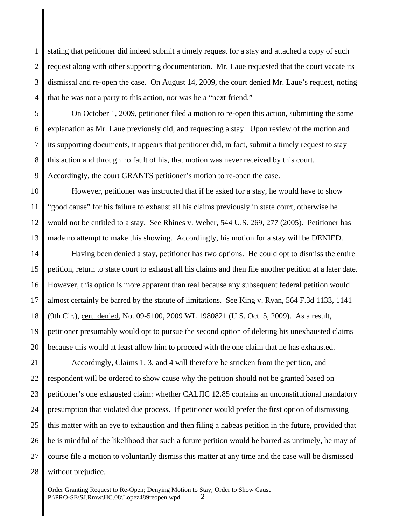1 2 3 4 stating that petitioner did indeed submit a timely request for a stay and attached a copy of such request along with other supporting documentation. Mr. Laue requested that the court vacate its dismissal and re-open the case. On August 14, 2009, the court denied Mr. Laue's request, noting that he was not a party to this action, nor was he a "next friend."

5 6 7 8 9 On October 1, 2009, petitioner filed a motion to re-open this action, submitting the same explanation as Mr. Laue previously did, and requesting a stay. Upon review of the motion and its supporting documents, it appears that petitioner did, in fact, submit a timely request to stay this action and through no fault of his, that motion was never received by this court. Accordingly, the court GRANTS petitioner's motion to re-open the case.

10 11 12 13 However, petitioner was instructed that if he asked for a stay, he would have to show "good cause" for his failure to exhaust all his claims previously in state court, otherwise he would not be entitled to a stay. See Rhines v. Weber, 544 U.S. 269, 277 (2005). Petitioner has made no attempt to make this showing. Accordingly, his motion for a stay will be DENIED.

14 15 16 17 18 19 20 Having been denied a stay, petitioner has two options. He could opt to dismiss the entire petition, return to state court to exhaust all his claims and then file another petition at a later date. However, this option is more apparent than real because any subsequent federal petition would almost certainly be barred by the statute of limitations. See King v. Ryan, 564 F.3d 1133, 1141 (9th Cir.), cert. denied, No. 09-5100, 2009 WL 1980821 (U.S. Oct. 5, 2009). As a result, petitioner presumably would opt to pursue the second option of deleting his unexhausted claims because this would at least allow him to proceed with the one claim that he has exhausted.

21 22 23 24 25 26 27 28 Accordingly, Claims 1, 3, and 4 will therefore be stricken from the petition, and respondent will be ordered to show cause why the petition should not be granted based on petitioner's one exhausted claim: whether CALJIC 12.85 contains an unconstitutional mandatory presumption that violated due process. If petitioner would prefer the first option of dismissing this matter with an eye to exhaustion and then filing a habeas petition in the future, provided that he is mindful of the likelihood that such a future petition would be barred as untimely, he may of course file a motion to voluntarily dismiss this matter at any time and the case will be dismissed without prejudice.

Order Granting Request to Re-Open; Denying Motion to Stay; Order to Show Cause P:\PRO-SE\SJ.Rmw\HC.08\Lopez489reopen.wpd 2